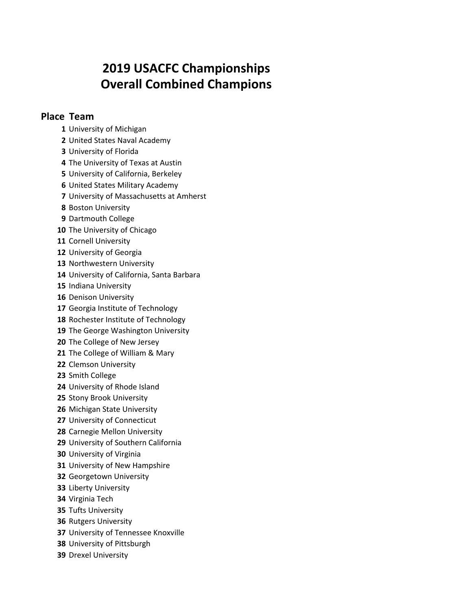## **2019 USACFC Championships Overall Combined Champions**

## **Place Team**

- University of Michigan
- United States Naval Academy
- University of Florida
- The University of Texas at Austin
- University of California, Berkeley
- United States Military Academy
- University of Massachusetts at Amherst
- Boston University
- Dartmouth College
- The University of Chicago
- Cornell University
- University of Georgia
- Northwestern University
- University of California, Santa Barbara
- Indiana University
- Denison University
- Georgia Institute of Technology
- Rochester Institute of Technology
- The George Washington University
- The College of New Jersey
- The College of William & Mary
- Clemson University
- Smith College
- University of Rhode Island
- Stony Brook University
- Michigan State University
- University of Connecticut
- Carnegie Mellon University
- University of Southern California
- University of Virginia
- University of New Hampshire
- Georgetown University
- Liberty University
- Virginia Tech
- Tufts University
- Rutgers University
- University of Tennessee Knoxville
- University of Pittsburgh
- Drexel University